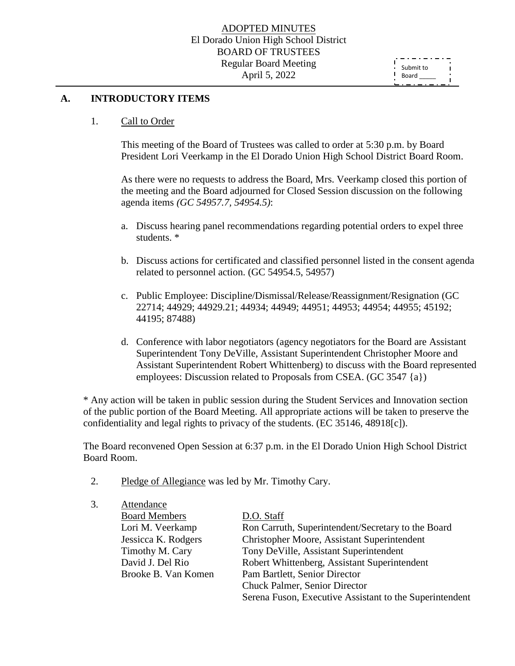#### ADOPTED MINUTES El Dorado Union High School District BOARD OF TRUSTEES Regular Board Meeting April 5, 2022

ť Submit to  $\mathbf{I}$ Board

#### **A. INTRODUCTORY ITEMS**

#### 1. Call to Order

This meeting of the Board of Trustees was called to order at 5:30 p.m. by Board President Lori Veerkamp in the El Dorado Union High School District Board Room.

As there were no requests to address the Board, Mrs. Veerkamp closed this portion of the meeting and the Board adjourned for Closed Session discussion on the following agenda items *(GC 54957.7, 54954.5)*:

- a. Discuss hearing panel recommendations regarding potential orders to expel three students. \*
- b. Discuss actions for certificated and classified personnel listed in the consent agenda related to personnel action. (GC 54954.5, 54957)
- c. Public Employee: Discipline/Dismissal/Release/Reassignment/Resignation (GC 22714; 44929; 44929.21; 44934; 44949; 44951; 44953; 44954; 44955; 45192; 44195; 87488)
- d. Conference with labor negotiators (agency negotiators for the Board are Assistant Superintendent Tony DeVille, Assistant Superintendent Christopher Moore and Assistant Superintendent Robert Whittenberg) to discuss with the Board represented employees: Discussion related to Proposals from CSEA. (GC 3547 {a})

\* Any action will be taken in public session during the Student Services and Innovation section of the public portion of the Board Meeting. All appropriate actions will be taken to preserve the confidentiality and legal rights to privacy of the students. (EC 35146, 48918[c]).

The Board reconvened Open Session at 6:37 p.m. in the El Dorado Union High School District Board Room.

- 2. Pledge of Allegiance was led by Mr. Timothy Cary.
- 3. Attendance Board Members D.O. Staff

Lori M. Veerkamp Ron Carruth, Superintendent/Secretary to the Board Jessicca K. Rodgers Christopher Moore, Assistant Superintendent Timothy M. Cary Tony DeVille, Assistant Superintendent David J. Del Rio Robert Whittenberg, Assistant Superintendent Brooke B. Van Komen Pam Bartlett, Senior Director Chuck Palmer, Senior Director Serena Fuson, Executive Assistant to the Superintendent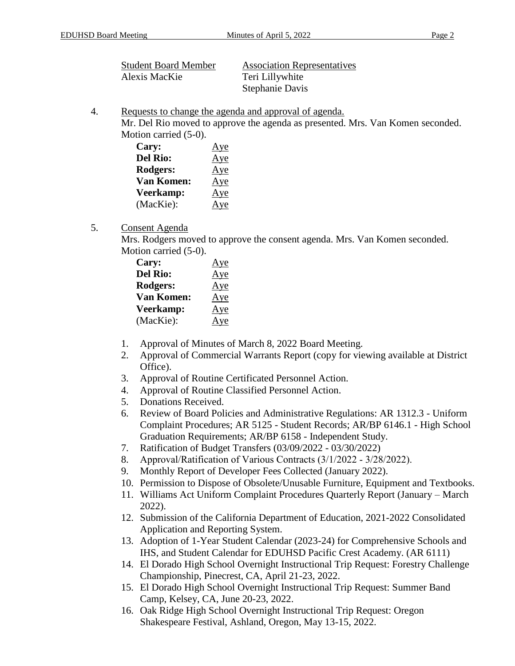| <b>Student Board Member</b> | <b>Association Representatives</b> |
|-----------------------------|------------------------------------|
| Alexis MacKie               | Teri Lillywhite                    |
|                             | Stephanie Davis                    |

4. Requests to change the agenda and approval of agenda.

Mr. Del Rio moved to approve the agenda as presented. Mrs. Van Komen seconded. Motion carried (5-0).

| Cary:             | Aye |
|-------------------|-----|
| <b>Del Rio:</b>   | Aye |
| Rodgers:          | Aye |
| <b>Van Komen:</b> | Aye |
| Veerkamp:         | Aye |
| (MacKie):         | Aye |

### 5. Consent Agenda

Mrs. Rodgers moved to approve the consent agenda. Mrs. Van Komen seconded. Motion carried (5-0).

| Cary:             | Aye |
|-------------------|-----|
| <b>Del Rio:</b>   | Aye |
| Rodgers:          | Aye |
| <b>Van Komen:</b> | Aye |
| Veerkamp:         | Aye |
| (MacKie):         | Aye |

- 1. Approval of Minutes of March 8, 2022 Board Meeting.
- 2. Approval of Commercial Warrants Report (copy for viewing available at District Office).
- 3. Approval of Routine Certificated Personnel Action.
- 4. Approval of Routine Classified Personnel Action.
- 5. Donations Received.
- 6. Review of Board Policies and Administrative Regulations: AR 1312.3 Uniform Complaint Procedures; AR 5125 - Student Records; AR/BP 6146.1 - High School Graduation Requirements; AR/BP 6158 - Independent Study.
- 7. Ratification of Budget Transfers (03/09/2022 03/30/2022)
- 8. Approval/Ratification of Various Contracts (3/1/2022 ‐ 3/28/2022).
- 9. Monthly Report of Developer Fees Collected (January 2022).
- 10. Permission to Dispose of Obsolete/Unusable Furniture, Equipment and Textbooks.
- 11. Williams Act Uniform Complaint Procedures Quarterly Report (January March 2022).
- 12. Submission of the California Department of Education, 2021-2022 Consolidated Application and Reporting System.
- 13. Adoption of 1-Year Student Calendar (2023-24) for Comprehensive Schools and IHS, and Student Calendar for EDUHSD Pacific Crest Academy. (AR 6111)
- 14. El Dorado High School Overnight Instructional Trip Request: Forestry Challenge Championship, Pinecrest, CA, April 21-23, 2022.
- 15. El Dorado High School Overnight Instructional Trip Request: Summer Band Camp, Kelsey, CA, June 20-23, 2022.
- 16. Oak Ridge High School Overnight Instructional Trip Request: Oregon Shakespeare Festival, Ashland, Oregon, May 13-15, 2022.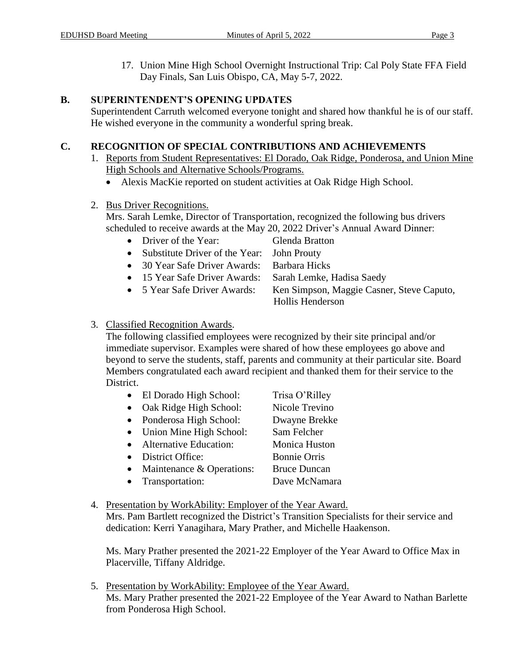17. Union Mine High School Overnight Instructional Trip: Cal Poly State FFA Field Day Finals, San Luis Obispo, CA, May 5-7, 2022.

# **B. SUPERINTENDENT'S OPENING UPDATES**

Superintendent Carruth welcomed everyone tonight and shared how thankful he is of our staff. He wished everyone in the community a wonderful spring break.

# **C. RECOGNITION OF SPECIAL CONTRIBUTIONS AND ACHIEVEMENTS**

- 1. Reports from Student Representatives: El Dorado, Oak Ridge, Ponderosa, and Union Mine High Schools and Alternative Schools/Programs.
	- Alexis MacKie reported on student activities at Oak Ridge High School.

# 2. Bus Driver Recognitions.

Mrs. Sarah Lemke, Director of Transportation, recognized the following bus drivers scheduled to receive awards at the May 20, 2022 Driver's Annual Award Dinner:

- Driver of the Year: Glenda Bratton
- Substitute Driver of the Year: John Prouty
- 30 Year Safe Driver Awards: Barbara Hicks
- 15 Year Safe Driver Awards: Sarah Lemke, Hadisa Saedy
- 5 Year Safe Driver Awards: Ken Simpson, Maggie Casner, Steve Caputo,
	- Hollis Henderson

# 3. Classified Recognition Awards.

The following classified employees were recognized by their site principal and/or immediate supervisor. Examples were shared of how these employees go above and beyond to serve the students, staff, parents and community at their particular site. Board Members congratulated each award recipient and thanked them for their service to the District.

- El Dorado High School: Trisa O'Rilley
- Oak Ridge High School: Nicole Trevino
- Ponderosa High School: Dwayne Brekke
- Union Mine High School: Sam Felcher
- Alternative Education: Monica Huston
- District Office: Bonnie Orris
- Maintenance & Operations: Bruce Duncan
- Transportation: Dave McNamara
- 4. Presentation by WorkAbility: Employer of the Year Award.

Mrs. Pam Bartlett recognized the District's Transition Specialists for their service and dedication: Kerri Yanagihara, Mary Prather, and Michelle Haakenson.

Ms. Mary Prather presented the 2021-22 Employer of the Year Award to Office Max in Placerville, Tiffany Aldridge.

5. Presentation by WorkAbility: Employee of the Year Award. Ms. Mary Prather presented the 2021-22 Employee of the Year Award to Nathan Barlette from Ponderosa High School.

- 
- 
- 
- 
-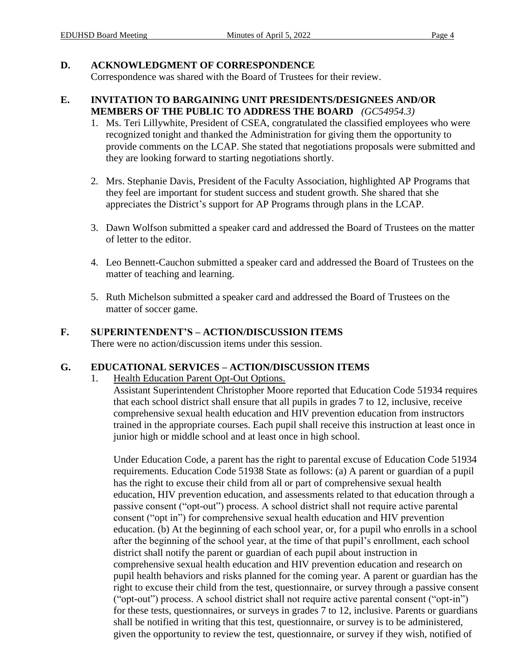## **D. ACKNOWLEDGMENT OF CORRESPONDENCE**

Correspondence was shared with the Board of Trustees for their review.

## **E. INVITATION TO BARGAINING UNIT PRESIDENTS/DESIGNEES AND/OR MEMBERS OF THE PUBLIC TO ADDRESS THE BOARD** *(GC54954.3)*

- 1. Ms. Teri Lillywhite, President of CSEA, congratulated the classified employees who were recognized tonight and thanked the Administration for giving them the opportunity to provide comments on the LCAP. She stated that negotiations proposals were submitted and they are looking forward to starting negotiations shortly.
- 2. Mrs. Stephanie Davis, President of the Faculty Association, highlighted AP Programs that they feel are important for student success and student growth. She shared that she appreciates the District's support for AP Programs through plans in the LCAP.
- 3. Dawn Wolfson submitted a speaker card and addressed the Board of Trustees on the matter of letter to the editor.
- 4. Leo Bennett-Cauchon submitted a speaker card and addressed the Board of Trustees on the matter of teaching and learning.
- 5. Ruth Michelson submitted a speaker card and addressed the Board of Trustees on the matter of soccer game.

# **F. SUPERINTENDENT'S – ACTION/DISCUSSION ITEMS**

There were no action/discussion items under this session.

## **G. EDUCATIONAL SERVICES – ACTION/DISCUSSION ITEMS**

1. Health Education Parent Opt-Out Options.

Assistant Superintendent Christopher Moore reported that Education Code 51934 requires that each school district shall ensure that all pupils in grades 7 to 12, inclusive, receive comprehensive sexual health education and HIV prevention education from instructors trained in the appropriate courses. Each pupil shall receive this instruction at least once in junior high or middle school and at least once in high school.

Under Education Code, a parent has the right to parental excuse of Education Code 51934 requirements. Education Code 51938 State as follows: (a) A parent or guardian of a pupil has the right to excuse their child from all or part of comprehensive sexual health education, HIV prevention education, and assessments related to that education through a passive consent ("opt-out") process. A school district shall not require active parental consent ("opt in") for comprehensive sexual health education and HIV prevention education. (b) At the beginning of each school year, or, for a pupil who enrolls in a school after the beginning of the school year, at the time of that pupil's enrollment, each school district shall notify the parent or guardian of each pupil about instruction in comprehensive sexual health education and HIV prevention education and research on pupil health behaviors and risks planned for the coming year. A parent or guardian has the right to excuse their child from the test, questionnaire, or survey through a passive consent ("opt-out") process. A school district shall not require active parental consent ("opt-in") for these tests, questionnaires, or surveys in grades 7 to 12, inclusive. Parents or guardians shall be notified in writing that this test, questionnaire, or survey is to be administered, given the opportunity to review the test, questionnaire, or survey if they wish, notified of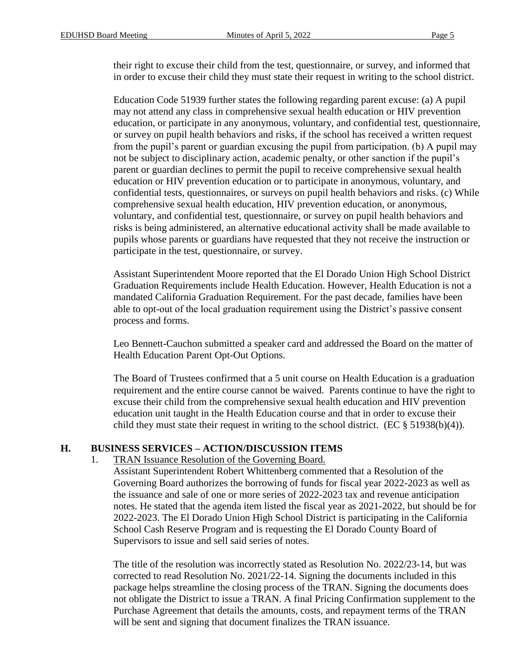their right to excuse their child from the test, questionnaire, or survey, and informed that in order to excuse their child they must state their request in writing to the school district.

Education Code 51939 further states the following regarding parent excuse: (a) A pupil may not attend any class in comprehensive sexual health education or HIV prevention education, or participate in any anonymous, voluntary, and confidential test, questionnaire, or survey on pupil health behaviors and risks, if the school has received a written request from the pupil's parent or guardian excusing the pupil from participation. (b) A pupil may not be subject to disciplinary action, academic penalty, or other sanction if the pupil's parent or guardian declines to permit the pupil to receive comprehensive sexual health education or HIV prevention education or to participate in anonymous, voluntary, and confidential tests, questionnaires, or surveys on pupil health behaviors and risks. (c) While comprehensive sexual health education, HIV prevention education, or anonymous, voluntary, and confidential test, questionnaire, or survey on pupil health behaviors and risks is being administered, an alternative educational activity shall be made available to pupils whose parents or guardians have requested that they not receive the instruction or participate in the test, questionnaire, or survey.

Assistant Superintendent Moore reported that the El Dorado Union High School District Graduation Requirements include Health Education. However, Health Education is not a mandated California Graduation Requirement. For the past decade, families have been able to opt-out of the local graduation requirement using the District's passive consent process and forms.

Leo Bennett-Cauchon submitted a speaker card and addressed the Board on the matter of Health Education Parent Opt-Out Options.

The Board of Trustees confirmed that a 5 unit course on Health Education is a graduation requirement and the entire course cannot be waived. Parents continue to have the right to excuse their child from the comprehensive sexual health education and HIV prevention education unit taught in the Health Education course and that in order to excuse their child they must state their request in writing to the school district. (EC  $\S$  51938(b)(4)).

## **H. BUSINESS SERVICES – ACTION/DISCUSSION ITEMS**

#### 1. TRAN Issuance Resolution of the Governing Board.

Assistant Superintendent Robert Whittenberg commented that a Resolution of the Governing Board authorizes the borrowing of funds for fiscal year 2022-2023 as well as the issuance and sale of one or more series of 2022-2023 tax and revenue anticipation notes. He stated that the agenda item listed the fiscal year as 2021-2022, but should be for 2022-2023. The El Dorado Union High School District is participating in the California School Cash Reserve Program and is requesting the El Dorado County Board of Supervisors to issue and sell said series of notes.

The title of the resolution was incorrectly stated as Resolution No. 2022/23-14, but was corrected to read Resolution No. 2021/22-14. Signing the documents included in this package helps streamline the closing process of the TRAN. Signing the documents does not obligate the District to issue a TRAN. A final Pricing Confirmation supplement to the Purchase Agreement that details the amounts, costs, and repayment terms of the TRAN will be sent and signing that document finalizes the TRAN issuance.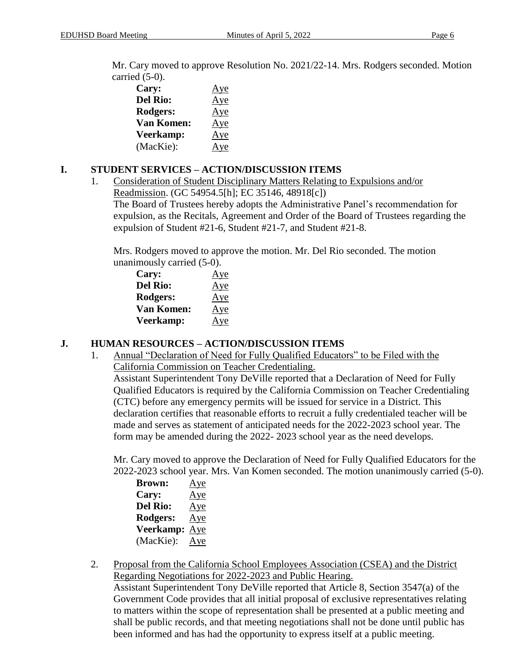Mr. Cary moved to approve Resolution No. 2021/22-14. Mrs. Rodgers seconded. Motion carried (5-0).

| Cary:             | Aye |
|-------------------|-----|
| <b>Del Rio:</b>   | Aye |
| Rodgers:          | Aye |
| <b>Van Komen:</b> | Aye |
| Veerkamp:         | Aye |
| (MacKie):         | Aye |

# **I. STUDENT SERVICES – ACTION/DISCUSSION ITEMS**

1. Consideration of Student Disciplinary Matters Relating to Expulsions and/or Readmission. (GC 54954.5[h]; EC 35146, 48918[c]) The Board of Trustees hereby adopts the Administrative Panel's recommendation for expulsion, as the Recitals, Agreement and Order of the Board of Trustees regarding the expulsion of Student #21-6, Student #21-7, and Student #21-8.

Mrs. Rodgers moved to approve the motion. Mr. Del Rio seconded. The motion unanimously carried (5-0).

| Cary:             | Aye |
|-------------------|-----|
| <b>Del Rio:</b>   | Aye |
| Rodgers:          | Aye |
| <b>Van Komen:</b> | Aye |
| Veerkamp:         | Aye |

# **J. HUMAN RESOURCES – ACTION/DISCUSSION ITEMS**

1. Annual "Declaration of Need for Fully Qualified Educators" to be Filed with the California Commission on Teacher Credentialing.

Assistant Superintendent Tony DeVille reported that a Declaration of Need for Fully Qualified Educators is required by the California Commission on Teacher Credentialing (CTC) before any emergency permits will be issued for service in a District. This declaration certifies that reasonable efforts to recruit a fully credentialed teacher will be made and serves as statement of anticipated needs for the 2022-2023 school year. The form may be amended during the 2022- 2023 school year as the need develops.

Mr. Cary moved to approve the Declaration of Need for Fully Qualified Educators for the 2022-2023 school year. Mrs. Van Komen seconded. The motion unanimously carried (5-0).

| <b>Brown:</b>    | Aye |
|------------------|-----|
| Cary:            | Aye |
| <b>Del Rio:</b>  | Aye |
| Rodgers:         | Aye |
| <b>Veerkamp:</b> | Aye |
| (MacKie):        | Aye |

2. Proposal from the California School Employees Association (CSEA) and the District Regarding Negotiations for 2022-2023 and Public Hearing. Assistant Superintendent Tony DeVille reported that Article 8, Section 3547(a) of the Government Code provides that all initial proposal of exclusive representatives relating to matters within the scope of representation shall be presented at a public meeting and shall be public records, and that meeting negotiations shall not be done until public has been informed and has had the opportunity to express itself at a public meeting.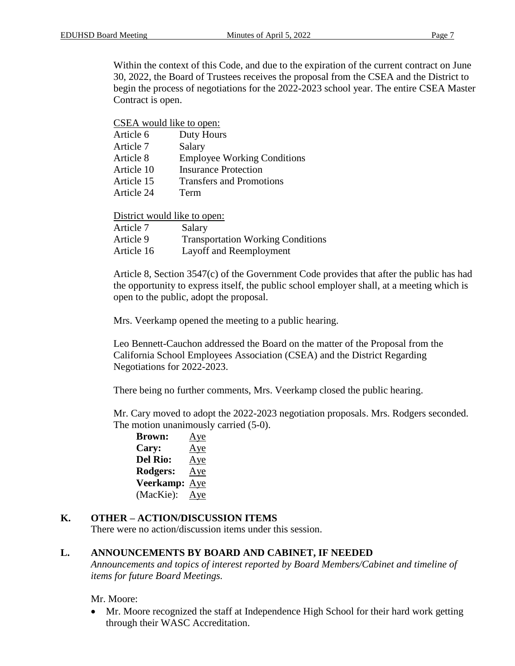Within the context of this Code, and due to the expiration of the current contract on June 30, 2022, the Board of Trustees receives the proposal from the CSEA and the District to begin the process of negotiations for the 2022-2023 school year. The entire CSEA Master Contract is open.

#### CSEA would like to open:

| Article 6  | Duty Hours                         |
|------------|------------------------------------|
| Article 7  | Salary                             |
| Article 8  | <b>Employee Working Conditions</b> |
| Article 10 | <b>Insurance Protection</b>        |
| Article 15 | <b>Transfers and Promotions</b>    |
| Article 24 | Term                               |
|            |                                    |

District would like to open:

| Article 7  | Salary                                   |
|------------|------------------------------------------|
| Article 9  | <b>Transportation Working Conditions</b> |
| Article 16 | Layoff and Reemployment                  |

Article 8, Section 3547(c) of the Government Code provides that after the public has had the opportunity to express itself, the public school employer shall, at a meeting which is open to the public, adopt the proposal.

Mrs. Veerkamp opened the meeting to a public hearing.

Leo Bennett-Cauchon addressed the Board on the matter of the Proposal from the California School Employees Association (CSEA) and the District Regarding Negotiations for 2022-2023.

There being no further comments, Mrs. Veerkamp closed the public hearing.

Mr. Cary moved to adopt the 2022-2023 negotiation proposals. Mrs. Rodgers seconded. The motion unanimously carried (5-0).

**Brown:** Aye **Cary:** Aye **Del Rio:** Aye **Rodgers:** Aye **Veerkamp:** Aye (MacKie): Aye

## **K. OTHER – ACTION/DISCUSSION ITEMS**

There were no action/discussion items under this session.

#### **L. ANNOUNCEMENTS BY BOARD AND CABINET, IF NEEDED**

*Announcements and topics of interest reported by Board Members/Cabinet and timeline of items for future Board Meetings.*

Mr. Moore:

• Mr. Moore recognized the staff at Independence High School for their hard work getting through their WASC Accreditation.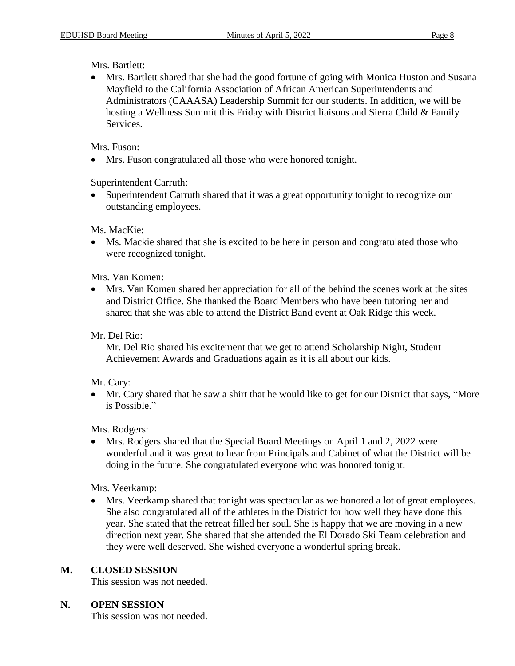## Mrs. Bartlett:

 Mrs. Bartlett shared that she had the good fortune of going with Monica Huston and Susana Mayfield to the California Association of African American Superintendents and Administrators (CAAASA) Leadership Summit for our students. In addition, we will be hosting a Wellness Summit this Friday with District liaisons and Sierra Child & Family Services.

## Mrs. Fuson:

Mrs. Fuson congratulated all those who were honored tonight.

Superintendent Carruth:

 Superintendent Carruth shared that it was a great opportunity tonight to recognize our outstanding employees.

Ms. MacKie:

 Ms. Mackie shared that she is excited to be here in person and congratulated those who were recognized tonight.

Mrs. Van Komen:

 Mrs. Van Komen shared her appreciation for all of the behind the scenes work at the sites and District Office. She thanked the Board Members who have been tutoring her and shared that she was able to attend the District Band event at Oak Ridge this week.

Mr. Del Rio:

Mr. Del Rio shared his excitement that we get to attend Scholarship Night, Student Achievement Awards and Graduations again as it is all about our kids.

# Mr. Cary:

 Mr. Cary shared that he saw a shirt that he would like to get for our District that says, "More is Possible."

Mrs. Rodgers:

 Mrs. Rodgers shared that the Special Board Meetings on April 1 and 2, 2022 were wonderful and it was great to hear from Principals and Cabinet of what the District will be doing in the future. She congratulated everyone who was honored tonight.

Mrs. Veerkamp:

 Mrs. Veerkamp shared that tonight was spectacular as we honored a lot of great employees. She also congratulated all of the athletes in the District for how well they have done this year. She stated that the retreat filled her soul. She is happy that we are moving in a new direction next year. She shared that she attended the El Dorado Ski Team celebration and they were well deserved. She wished everyone a wonderful spring break.

# **M. CLOSED SESSION**

This session was not needed.

# **N. OPEN SESSION**

This session was not needed.